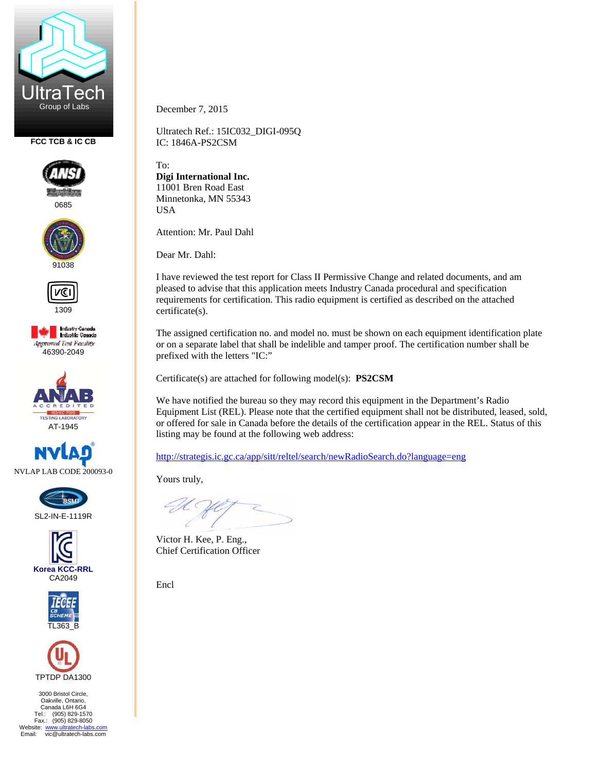

**FCC TCB & IC CB** 



0685











SL2-IN-E-1119R







3000 Bristol Circle, Oakville, Ontario, Canada L6H 6G4 Tel.: (905) 829-1570 Fax.: (905) 829-8050 Website: www.ultratech-labs.com<br>Email: vic@ultratech-labs.com December 7, 2015

Ultratech Ref.: 15IC032\_DIGI-095Q IC: 1846A-PS2CSM

To: **Digi International Inc.**  11001 Bren Road East Minnetonka, MN 55343 USA

Attention: Mr. Paul Dahl

Dear Mr. Dahl:

I have reviewed the test report for Class II Permissive Change and related documents, and am pleased to advise that this application meets Industry Canada procedural and specification requirements for certification. This radio equipment is certified as described on the attached certificate(s).

The assigned certification no. and model no. must be shown on each equipment identification plate or on a separate label that shall be indelible and tamper proof. The certification number shall be prefixed with the letters "IC:"

Certificate(s) are attached for following model(s): **PS2CSM**

We have notified the bureau so they may record this equipment in the Department's Radio Equipment List (REL). Please note that the certified equipment shall not be distributed, leased, sold, or offered for sale in Canada before the details of the certification appear in the REL. Status of this listing may be found at the following web address:

http://strategis.ic.gc.ca/app/sitt/reltel/search/newRadioSearch.do?language=eng

Yours truly,

Victor H. Kee, P. Eng., Chief Certification Officer

Encl